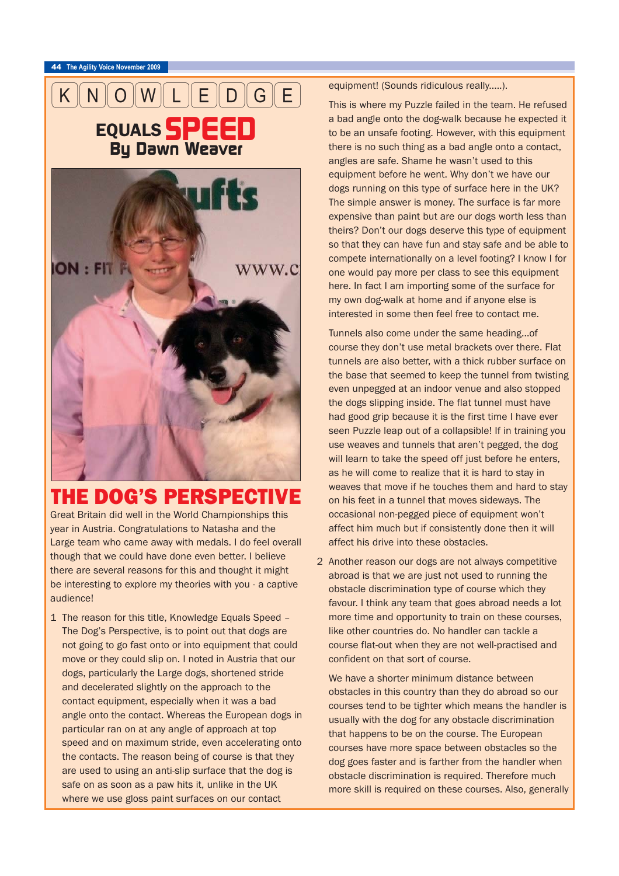



## THE DOG'S PERSPECTIVE

Great Britain did well in the World Championships this year in Austria. Congratulations to Natasha and the Large team who came away with medals. I do feel overall though that we could have done even better. I believe there are several reasons for this and thought it might be interesting to explore my theories with you - a captive audience!

1 The reason for this title, Knowledge Equals Speed – The Dog's Perspective, is to point out that dogs are not going to go fast onto or into equipment that could move or they could slip on. I noted in Austria that our dogs, particularly the Large dogs, shortened stride and decelerated slightly on the approach to the contact equipment, especially when it was a bad angle onto the contact. Whereas the European dogs in particular ran on at any angle of approach at top speed and on maximum stride, even accelerating onto the contacts. The reason being of course is that they are used to using an anti-slip surface that the dog is safe on as soon as a paw hits it, unlike in the UK where we use gloss paint surfaces on our contact

equipment! (Sounds ridiculous really.....).

This is where my Puzzle failed in the team. He refused a bad angle onto the dog-walk because he expected it to be an unsafe footing. However, with this equipment there is no such thing as a bad angle onto a contact, angles are safe. Shame he wasn't used to this equipment before he went. Why don't we have our dogs running on this type of surface here in the UK? The simple answer is money. The surface is far more expensive than paint but are our dogs worth less than theirs? Don't our dogs deserve this type of equipment so that they can have fun and stay safe and be able to compete internationally on a level footing? I know I for one would pay more per class to see this equipment here. In fact I am importing some of the surface for my own dog-walk at home and if anyone else is interested in some then feel free to contact me.

Tunnels also come under the same heading...of course they don't use metal brackets over there. Flat tunnels are also better, with a thick rubber surface on the base that seemed to keep the tunnel from twisting even unpegged at an indoor venue and also stopped the dogs slipping inside. The flat tunnel must have had good grip because it is the first time I have ever seen Puzzle leap out of a collapsible! If in training you use weaves and tunnels that aren't pegged, the dog will learn to take the speed off just before he enters, as he will come to realize that it is hard to stay in weaves that move if he touches them and hard to stay on his feet in a tunnel that moves sideways. The occasional non-pegged piece of equipment won't affect him much but if consistently done then it will affect his drive into these obstacles.

2 Another reason our dogs are not always competitive abroad is that we are just not used to running the obstacle discrimination type of course which they favour. I think any team that goes abroad needs a lot more time and opportunity to train on these courses, like other countries do. No handler can tackle a course flat-out when they are not well-practised and confident on that sort of course.

We have a shorter minimum distance between obstacles in this country than they do abroad so our courses tend to be tighter which means the handler is usually with the dog for any obstacle discrimination that happens to be on the course. The European courses have more space between obstacles so the dog goes faster and is farther from the handler when obstacle discrimination is required. Therefore much more skill is required on these courses. Also, generally